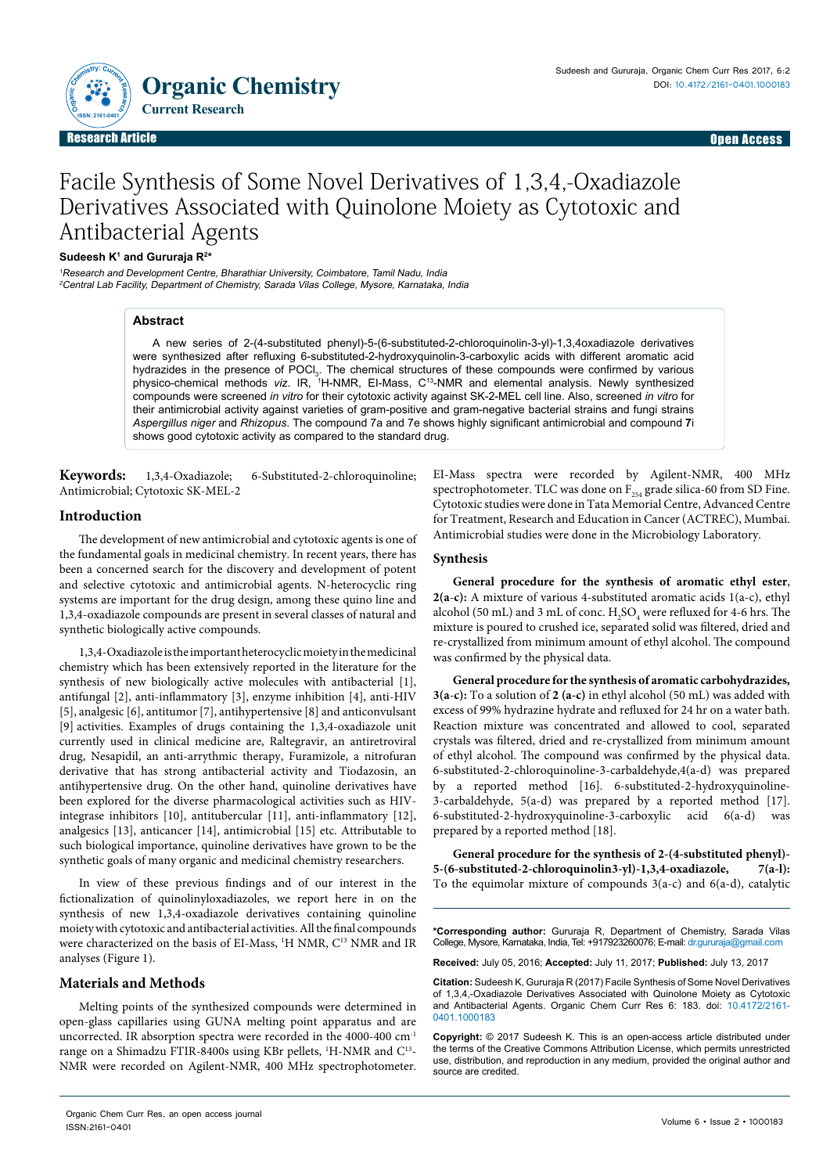Organic Chemistry **ISSN: 2161-0401**

**O**

Research Article Upen Access (September 2002) and the second second second second second second second second s Research Article Open Access

# Facile Synthesis of Some Novel Derivatives of 1,3,4,-Oxadiazole Derivatives Associated with Quinolone Moiety as Cytotoxic and Antibacterial Agents

#### **Sudeesh K1 and Gururaja R2 \***

<sup>1</sup>Research and Development Centre, Bharathiar University, Coimbatore, Tamil Nadu, India <sup>2</sup>Central Lab Facility, Department of Chemistry, Sarada Vilas College, Mysore, Karnataka, India

### **Abstract**

A new series of 2-(4-substituted phenyl)-5-(6-substituted-2-chloroquinolin-3-yl)-1,3,4oxadiazole derivatives were synthesized after refluxing 6-substituted-2-hydroxyquinolin-3-carboxylic acids with different aromatic acid hydrazides in the presence of POCl<sub>3</sub>. The chemical structures of these compounds were confirmed by various physico-chemical methods *viz*. IR, 1 H-NMR, EI-Mass, C13-NMR and elemental analysis. Newly synthesized compounds were screened *in vitro* for their cytotoxic activity against SK-2-MEL cell line. Also, screened *in vitro* for their antimicrobial activity against varieties of gram-positive and gram-negative bacterial strains and fungi strains *Aspergillus niger* and *Rhizopus*. The compound 7a and 7e shows highly significant antimicrobial and compound **7**i shows good cytotoxic activity as compared to the standard drug.

**Keywords:** 1,3,4-Oxadiazole; 6-Substituted-2-chloroquinoline; Antimicrobial; Cytotoxic SK-MEL-2

### **Introduction**

The development of new antimicrobial and cytotoxic agents is one of the fundamental goals in medicinal chemistry. In recent years, there has been a concerned search for the discovery and development of potent and selective cytotoxic and antimicrobial agents. N-heterocyclic ring systems are important for the drug design, among these quino line and 1,3,4-oxadiazole compounds are present in several classes of natural and synthetic biologically active compounds.

1,3,4-Oxadiazole is the important heterocyclic moiety in the medicinal chemistry which has been extensively reported in the literature for the synthesis of new biologically active molecules with antibacterial [1], antifungal [2], anti-inflammatory [3], enzyme inhibition [4], anti-HIV [5], analgesic [6], antitumor [7], antihypertensive [8] and anticonvulsant [9] activities. Examples of drugs containing the 1,3,4-oxadiazole unit currently used in clinical medicine are, Raltegravir, an antiretroviral drug, Nesapidil, an anti-arrythmic therapy, Furamizole, a nitrofuran derivative that has strong antibacterial activity and Tiodazosin, an antihypertensive drug. On the other hand, quinoline derivatives have been explored for the diverse pharmacological activities such as HIVintegrase inhibitors [10], antitubercular [11], anti-inflammatory [12], analgesics [13], anticancer [14], antimicrobial [15] etc. Attributable to such biological importance, quinoline derivatives have grown to be the synthetic goals of many organic and medicinal chemistry researchers.

In view of these previous findings and of our interest in the fictionalization of quinolinyloxadiazoles, we report here in on the synthesis of new 1,3,4-oxadiazole derivatives containing quinoline moiety with cytotoxic and antibacterial activities. All the final compounds were characterized on the basis of EI-Mass, <sup>1</sup>H NMR, C<sup>13</sup> NMR and IR analyses (Figure 1).

## **Materials and Methods**

Melting points of the synthesized compounds were determined in open-glass capillaries using GUNA melting point apparatus and are uncorrected. IR absorption spectra were recorded in the 4000-400 cm-1 range on a Shimadzu FTIR-8400s using KBr pellets, <sup>1</sup>H-NMR and C<sup>13</sup>-NMR were recorded on Agilent-NMR, 400 MHz spectrophotometer.

EI-Mass spectra were recorded by Agilent-NMR, 400 MHz spectrophotometer. TLC was done on  $\mathrm{F_{254}}$  grade silica-60 from SD Fine. Cytotoxic studies were done in Tata Memorial Centre, Advanced Centre for Treatment, Research and Education in Cancer (ACTREC), Mumbai. Antimicrobial studies were done in the Microbiology Laboratory.

## **Synthesis**

**General procedure for the synthesis of aromatic ethyl ester**, **2(a**-**c):** A mixture of various 4-substituted aromatic acids 1(a-c), ethyl alcohol (50 mL) and 3 mL of conc.  $H_2SO_4$  were refluxed for 4-6 hrs. The mixture is poured to crushed ice, separated solid was filtered, dried and re-crystallized from minimum amount of ethyl alcohol. The compound was confirmed by the physical data.

**General procedure for the synthesis of aromatic carbohydrazides, 3(a**-**c):** To a solution of **2 (a-c)** in ethyl alcohol (50 mL) was added with excess of 99% hydrazine hydrate and refluxed for 24 hr on a water bath. Reaction mixture was concentrated and allowed to cool, separated crystals was filtered, dried and re-crystallized from minimum amount of ethyl alcohol. The compound was confirmed by the physical data. 6-substituted-2-chloroquinoline-3-carbaldehyde,4(a-d) was prepared by a reported method [16]. 6-substituted-2-hydroxyquinoline-3-carbaldehyde, 5(a-d) was prepared by a reported method [17]. 6-substituted-2-hydroxyquinoline-3-carboxylic acid 6(a-d) was prepared by a reported method [18].

**General procedure for the synthesis of 2-(4-substituted phenyl)- 5-(6-substituted-2-chloroquinolin3-yl)-1,3,4-oxadiazole, 7(a-l):**  To the equimolar mixture of compounds 3(a-c) and 6(a-d), catalytic

**\*Corresponding author:** Gururaja R, Department of Chemistry, Sarada Vilas College, Mysore, Karnataka, India, Tel: +917923260076; E-mail: dr.gururaja@gmail.com

**Received:** July 05, 2016; **Accepted:** July 11, 2017; **Published:** July 13, 2017

**Citation:** Sudeesh K, Gururaja R (2017) Facile Synthesis of Some Novel Derivatives of 1,3,4,-Oxadiazole Derivatives Associated with Quinolone Moiety as Cytotoxic and Antibacterial Agents. Organic Chem Curr Res 6: 183. doi: 10.4172/2161- 0401.1000183

**Copyright:** © 2017 Sudeesh K. This is an open-access article distributed under the terms of the Creative Commons Attribution License, which permits unrestricted use, distribution, and reproduction in any medium, provided the original author and source are credited.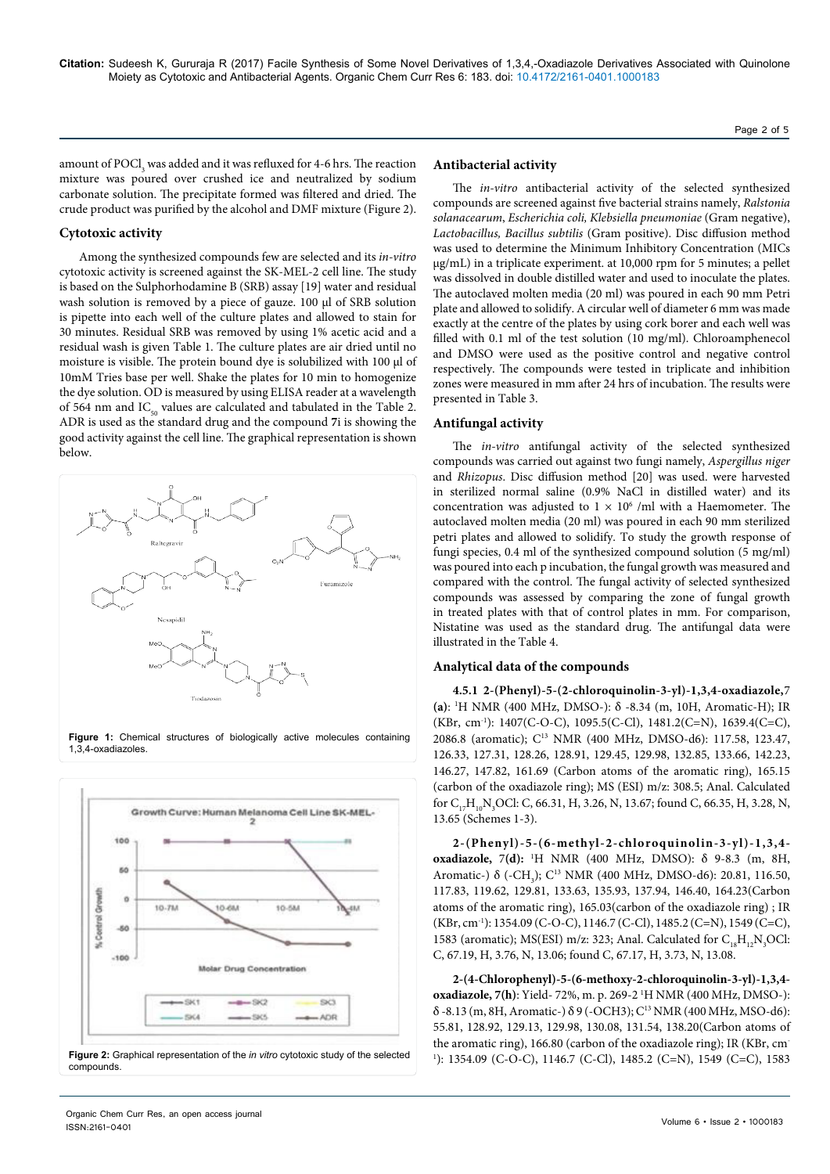Page 2 of 5

amount of  $\mathrm{POCl}_{_3}$  was added and it was refluxed for 4-6 hrs. The reaction mixture was poured over crushed ice and neutralized by sodium carbonate solution. The precipitate formed was filtered and dried. The crude product was purified by the alcohol and DMF mixture (Figure 2).

### **Cytotoxic activity**

Among the synthesized compounds few are selected and its *in-vitro* cytotoxic activity is screened against the SK-MEL-2 cell line. The study is based on the Sulphorhodamine B (SRB) assay [19] water and residual wash solution is removed by a piece of gauze. 100 µl of SRB solution is pipette into each well of the culture plates and allowed to stain for 30 minutes. Residual SRB was removed by using 1% acetic acid and a residual wash is given Table 1. The culture plates are air dried until no moisture is visible. The protein bound dye is solubilized with 100 µl of 10mM Tries base per well. Shake the plates for 10 min to homogenize the dye solution. OD is measured by using ELISA reader at a wavelength of 564 nm and  $IC_{50}$  values are calculated and tabulated in the Table 2. ADR is used as the standard drug and the compound **7**i is showing the good activity against the cell line. The graphical representation is shown below.



**Figure 1:** Chemical structures of biologically active molecules containing 1,3,4-oxadiazoles.



#### **Antibacterial activity**

The *in-vitro* antibacterial activity of the selected synthesized compounds are screened against five bacterial strains namely, *Ralstonia solanacearum*, *Escherichia coli, Klebsiella pneumoniae* (Gram negative), *Lactobacillus, Bacillus subtilis* (Gram positive). Disc diffusion method was used to determine the Minimum Inhibitory Concentration (MICs µg/mL) in a triplicate experiment. at 10,000 rpm for 5 minutes; a pellet was dissolved in double distilled water and used to inoculate the plates. The autoclaved molten media (20 ml) was poured in each 90 mm Petri plate and allowed to solidify. A circular well of diameter 6 mm was made exactly at the centre of the plates by using cork borer and each well was filled with 0.1 ml of the test solution (10 mg/ml). Chloroamphenecol and DMSO were used as the positive control and negative control respectively. The compounds were tested in triplicate and inhibition zones were measured in mm after 24 hrs of incubation. The results were presented in Table 3.

#### **Antifungal activity**

The *in-vitro* antifungal activity of the selected synthesized compounds was carried out against two fungi namely, *Aspergillus niger* and *Rhizopus*. Disc diffusion method [20] was used. were harvested in sterilized normal saline (0.9% NaCl in distilled water) and its concentration was adjusted to  $1 \times 10^6$  /ml with a Haemometer. The autoclaved molten media (20 ml) was poured in each 90 mm sterilized petri plates and allowed to solidify. To study the growth response of fungi species, 0.4 ml of the synthesized compound solution (5 mg/ml) was poured into each p incubation, the fungal growth was measured and compared with the control. The fungal activity of selected synthesized compounds was assessed by comparing the zone of fungal growth in treated plates with that of control plates in mm. For comparison, Nistatine was used as the standard drug. The antifungal data were illustrated in the Table 4.

## **Analytical data of the compounds**

**4.5.1 2-(Phenyl)-5-(2-chloroquinolin-3-yl)-1,3,4-oxadiazole,**7 **(a)**: 1 H NMR (400 MHz, DMSO-): δ -8.34 (m, 10H, Aromatic-H); IR (KBr, cm-1): 1407(C-O-C), 1095.5(C-Cl), 1481.2(C=N), 1639.4(C=C), 2086.8 (aromatic); C13 NMR (400 MHz, DMSO-d6): 117.58, 123.47, 126.33, 127.31, 128.26, 128.91, 129.45, 129.98, 132.85, 133.66, 142.23, 146.27, 147.82, 161.69 (Carbon atoms of the aromatic ring), 165.15 (carbon of the oxadiazole ring); MS (ESI) m/z: 308.5; Anal. Calculated for  $C_{17}H_{10}N_3$ OCl: C, 66.31, H, 3.26, N, 13.67; found C, 66.35, H, 3.28, N, 13.65 (Schemes 1-3).

**2-(Phenyl)-5-(6-methyl-2-chloroquinolin-3-yl)-1,3,4 oxadiazole,** 7**(d):** <sup>1</sup> H NMR (400 MHz, DMSO): δ 9-8.3 (m, 8H, Aromatic-) δ (-CH<sub>3</sub>); C<sup>13</sup> NMR (400 MHz, DMSO-d6): 20.81, 116.50, 117.83, 119.62, 129.81, 133.63, 135.93, 137.94, 146.40, 164.23(Carbon atoms of the aromatic ring), 165.03(carbon of the oxadiazole ring) ; IR (KBr, cm-1): 1354.09 (C-O-C), 1146.7 (C-Cl), 1485.2 (C=N), 1549 (C=C), 1583 (aromatic); MS(ESI) m/z: 323; Anal. Calculated for  $C_{18}H_{12}N_3OCl$ : C, 67.19, H, 3.76, N, 13.06; found C, 67.17, H, 3.73, N, 13.08.

**2-(4-Chlorophenyl)-5-(6-methoxy-2-chloroquinolin-3-yl)-1,3,4 oxadiazole, 7(h)**: Yield- 72%, m. p. 269-2 1 H NMR (400 MHz, DMSO-): δ -8.13 (m, 8H, Aromatic-) δ 9 (-OCH3); C13 NMR (400 MHz, MSO-d6): 55.81, 128.92, 129.13, 129.98, 130.08, 131.54, 138.20(Carbon atoms of the aromatic ring), 166.80 (carbon of the oxadiazole ring); IR (KBr, cm-1 ): 1354.09 (C-O-C), 1146.7 (C-Cl), 1485.2 (C=N), 1549 (C=C), 1583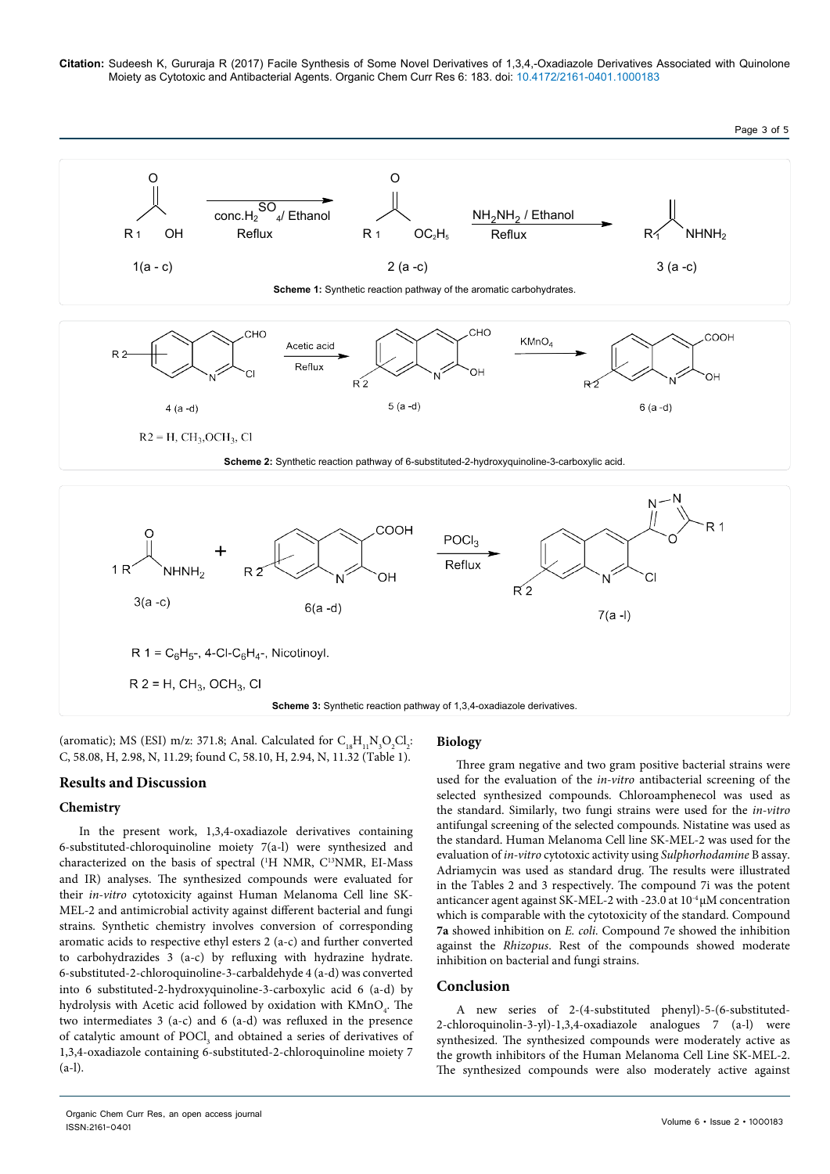**Citation:** Sudeesh K, Gururaja R (2017) Facile Synthesis of Some Novel Derivatives of 1,3,4,-Oxadiazole Derivatives Associated with Quinolone Moiety as Cytotoxic and Antibacterial Agents. Organic Chem Curr Res 6: 183. doi: 10.4172/2161-0401.1000183



(aromatic); MS (ESI) m/z: 371.8; Anal. Calculated for  $C_{18}H_{11}N_3O_2Cl_2$ : C, 58.08, H, 2.98, N, 11.29; found C, 58.10, H, 2.94, N, 11.32 (Table 1).

# **Results and Discussion**

### **Chemistry**

In the present work, 1,3,4-oxadiazole derivatives containing 6-substituted-chloroquinoline moiety 7(a-l) were synthesized and characterized on the basis of spectral (<sup>1</sup>H NMR, C<sup>13</sup>NMR, EI-Mass and IR) analyses. The synthesized compounds were evaluated for their *in-vitro* cytotoxicity against Human Melanoma Cell line SK-MEL-2 and antimicrobial activity against different bacterial and fungi strains. Synthetic chemistry involves conversion of corresponding aromatic acids to respective ethyl esters 2 (a-c) and further converted to carbohydrazides 3 (a-c) by refluxing with hydrazine hydrate. 6-substituted-2-chloroquinoline-3-carbaldehyde 4 (a-d) was converted into 6 substituted-2-hydroxyquinoline-3-carboxylic acid 6 (a-d) by hydrolysis with Acetic acid followed by oxidation with  $\text{KMnO}_4$ . The two intermediates 3 (a-c) and 6 (a-d) was refluxed in the presence of catalytic amount of POCl<sub>3</sub> and obtained a series of derivatives of 1,3,4-oxadiazole containing 6-substituted-2-chloroquinoline moiety 7  $(a-1)$ .

# **Biology**

Three gram negative and two gram positive bacterial strains were used for the evaluation of the *in-vitro* antibacterial screening of the selected synthesized compounds. Chloroamphenecol was used as the standard. Similarly, two fungi strains were used for the *in-vitro* antifungal screening of the selected compounds. Nistatine was used as the standard. Human Melanoma Cell line SK-MEL-2 was used for the evaluation of *in-vitro* cytotoxic activity using *Sulphorhodamine* B assay. Adriamycin was used as standard drug. The results were illustrated in the Tables 2 and 3 respectively. The compound 7i was the potent anticancer agent against SK-MEL-2 with -23.0 at  $10^{-4} \mu$ M concentration which is comparable with the cytotoxicity of the standard. Compound **7a** showed inhibition on *E. coli.* Compound 7e showed the inhibition against the *Rhizopus*. Rest of the compounds showed moderate inhibition on bacterial and fungi strains.

### **Conclusion**

A new series of 2-(4-substituted phenyl)-5-(6-substituted-2-chloroquinolin-3-yl)-1,3,4-oxadiazole analogues 7 (a-l) were synthesized. The synthesized compounds were moderately active as the growth inhibitors of the Human Melanoma Cell Line SK-MEL-2. The synthesized compounds were also moderately active against

Page 3 of 5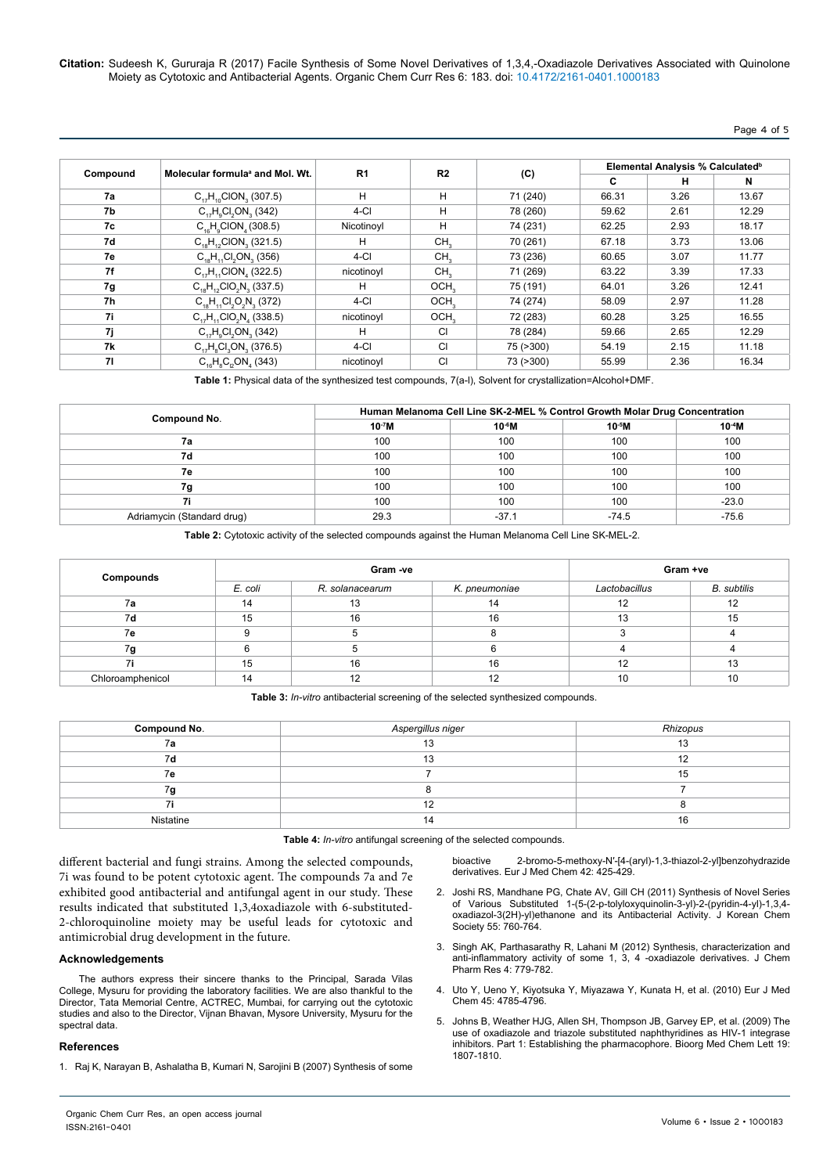**Citation:** Sudeesh K, Gururaja R (2017) Facile Synthesis of Some Novel Derivatives of 1,3,4,-Oxadiazole Derivatives Associated with Quinolone Moiety as Cytotoxic and Antibacterial Agents. Organic Chem Curr Res 6: 183. doi: 10.4172/2161-0401.1000183

## Page 4 of 5

|          |                                             |                |                  | (C)       | Elemental Analysis % Calculated <sup>b</sup> |      |       |
|----------|---------------------------------------------|----------------|------------------|-----------|----------------------------------------------|------|-------|
| Compound | Molecular formula <sup>a</sup> and Mol. Wt. | R <sub>1</sub> | R <sub>2</sub>   |           | C                                            | н    | N     |
| 7a       | $C_{17}H_{10}ClON_{2}$ (307.5)              | H              | H                | 71 (240)  | 66.31                                        | 3.26 | 13.67 |
| 7b       | $C_{17}H_{1}Cl_{2}ON_{2}(342)$              | $4-CI$         | H                | 78 (260)  | 59.62                                        | 2.61 | 12.29 |
| 7c       | $C_{16}H_{0}ClON_{4}(308.5)$                | Nicotinovl     | н                | 74 (231)  | 62.25                                        | 2.93 | 18.17 |
| 7d       | $C_{10}H_{10}ClON_{12}(321.5)$              | н              | CH <sub>2</sub>  | 70 (261)  | 67.18                                        | 3.73 | 13.06 |
| 7e       | $C_{18}H_{11}Cl_{2}ON_{3}$ (356)            | 4-CI           | CH <sub>2</sub>  | 73 (236)  | 60.65                                        | 3.07 | 11.77 |
| 7f       | $C_{17}H_{11}ClON_{12}(322.5)$              | nicotinoyl     | CH <sub>2</sub>  | 71 (269)  | 63.22                                        | 3.39 | 17.33 |
| 7g       | $C_{18}H_{12}ClO_2N_3$ (337.5)              | н              | OCH <sub>2</sub> | 75 (191)  | 64.01                                        | 3.26 | 12.41 |
| 7h       | $C_{18}H_{11}Cl_2O_2N_3$ (372)              | 4-CI           | OCH <sub>2</sub> | 74 (274)  | 58.09                                        | 2.97 | 11.28 |
| 7i       | $C_{17}H_{11}ClO_2N_{4}$ (338.5)            | nicotinoyl     | OCH <sub>2</sub> | 72 (283)  | 60.28                                        | 3.25 | 16.55 |
| 7j       | $C_{17}H_{0}Cl_{2}ON_{3}$ (342)             | н              | <b>CI</b>        | 78 (284)  | 59.66                                        | 2.65 | 12.29 |
| 7k       | $C_{17}H_{8}Cl_{8}ON_{8}$ (376.5)           | $4-CI$         | <b>CI</b>        | 75 (>300) | 54.19                                        | 2.15 | 11.18 |
| 71       | $C_{16}H_{8}C_{12}ON_{4}$ (343)             | nicotinoyl     | <b>CI</b>        | 73 (>300) | 55.99                                        | 2.36 | 16.34 |

**Table 1:** Physical data of the synthesized test compounds, 7(a-l), Solvent for crystallization=Alcohol+DMF.

|                            | Human Melanoma Cell Line SK-2-MEL % Control Growth Molar Drug Concentration |         |         |             |  |
|----------------------------|-----------------------------------------------------------------------------|---------|---------|-------------|--|
| Compound No.               | $10-7M$                                                                     | $10-6M$ | $10-5M$ | $10^{-4}$ M |  |
| 7a                         | 100                                                                         | 100     | 100     | 100         |  |
| 7d                         | 100                                                                         | 100     | 100     | 100         |  |
| 7e                         | 100                                                                         | 100     | 100     | 100         |  |
| 7g                         | 100                                                                         | 100     | 100     | 100         |  |
| 7i                         | 100                                                                         | 100     | 100     | $-23.0$     |  |
| Adriamycin (Standard drug) | 29.3                                                                        | $-37.1$ | $-74.5$ | $-75.6$     |  |

**Table 2:** Cytotoxic activity of the selected compounds against the Human Melanoma Cell Line SK-MEL-2.

| Compounds        |         | Gram -ve        | Gram +ve      |               |             |
|------------------|---------|-----------------|---------------|---------------|-------------|
|                  | E. coli | R. solanacearum | K. pneumoniae | Lactobacillus | B. subtilis |
| 7a               | 14      | 13              | 14            | 12            | 12          |
| 7d               | 15      | 16              | 16            | 13            | 15          |
| 7e               |         |                 |               |               |             |
| 7g               |         |                 |               |               |             |
| 7i               | 15      | 16              | 16            | 12            | 13          |
| Chloroamphenicol | 14      | 12              | 12            | 10            | 10          |

**Table 3:** *In-vitro* antibacterial screening of the selected synthesized compounds.

| Compound No. | Aspergillus niger | Rhizopus |  |
|--------------|-------------------|----------|--|
| 7а           | 13                | 13       |  |
| 7d           | 13                |          |  |
| 7е           |                   | 15       |  |
| 7g           |                   |          |  |
|              | 12                |          |  |
| Nistatine    | 14                | 16       |  |

**Table 4:** *In-vitro* antifungal screening of the selected compounds.

different bacterial and fungi strains. Among the selected compounds, 7i was found to be potent cytotoxic agent. The compounds 7a and 7e exhibited good antibacterial and antifungal agent in our study. These results indicated that substituted 1,3,4oxadiazole with 6-substituted-2-chloroquinoline moiety may be useful leads for cytotoxic and antimicrobial drug development in the future.

#### **Acknowledgements**

The authors express their sincere thanks to the Principal, Sarada Vilas College, Mysuru for providing the laboratory facilities. We are also thankful to the Director, Tata Memorial Centre, ACTREC, Mumbai, for carrying out the cytotoxic studies and also to the Director, Vijnan Bhavan, Mysore University, Mysuru for the spectral data

#### **References**

1. [Raj K, Narayan B, Ashalatha B, Kumari N, Sarojini B \(2007\) Synthesis of some](http://www.sciencedirect.com/science/article/pii/S022352340600328X)

[bioactive 2-bromo-5-methoxy-N′-\[4-\(aryl\)-1,3-thiazol-2-yl\]benzohydrazide](http://www.sciencedirect.com/science/article/pii/S022352340600328X)  [derivatives. Eur J Med Chem 42: 425-429.](http://www.sciencedirect.com/science/article/pii/S022352340600328X)

- 2. [Joshi RS, Mandhane PG, Chate AV, Gill CH \(2011\) Synthesis of Novel Series](http://kpubs.org/article/articleMain.kpubs?articleANo=JCGMDC_2011_v55n5_760)  [of Various Substituted 1-\(5-\(2-p-tolyloxyquinolin-3-yl\)-2-\(pyridin-4-yl\)-1,3,4](http://kpubs.org/article/articleMain.kpubs?articleANo=JCGMDC_2011_v55n5_760) [oxadiazol-3\(2H\)-yl\)ethanone and its Antibacterial Activity. J Korean Chem](http://kpubs.org/article/articleMain.kpubs?articleANo=JCGMDC_2011_v55n5_760)  [Society 55: 760-764.](http://kpubs.org/article/articleMain.kpubs?articleANo=JCGMDC_2011_v55n5_760)
- 3. Singh AK, Parthasarathy R, Lahani M (2012) Synthesis, characterization and anti-inflammatory activity of some 1, 3, 4 -oxadiazole derivatives. J Chem Pharm Res 4: 779-782.
- 4. Uto Y, Ueno Y, Kiyotsuka Y, Miyazawa Y, Kunata H, et al. (2010) Eur J Med Chem 45: 4785-4796.
- 5. [Johns B, Weather HJG, Allen SH, Thompson JB, Garvey EP, et al. \(2009\) The](https://www.semanticscholar.org/paper/The-use-of-oxadiazole-and-triazole-substituted-nap-Johns-Weatherhead/e0480ac494c25b5127113b3a6be2982a1cc1cb4a)  [use of oxadiazole and triazole substituted naphthyridines as HIV-1 integrase](https://www.semanticscholar.org/paper/The-use-of-oxadiazole-and-triazole-substituted-nap-Johns-Weatherhead/e0480ac494c25b5127113b3a6be2982a1cc1cb4a)  [inhibitors. Part 1: Establishing the pharmacophore. Bioorg Med Chem Lett 19:](https://www.semanticscholar.org/paper/The-use-of-oxadiazole-and-triazole-substituted-nap-Johns-Weatherhead/e0480ac494c25b5127113b3a6be2982a1cc1cb4a)  [1807-1810.](https://www.semanticscholar.org/paper/The-use-of-oxadiazole-and-triazole-substituted-nap-Johns-Weatherhead/e0480ac494c25b5127113b3a6be2982a1cc1cb4a)